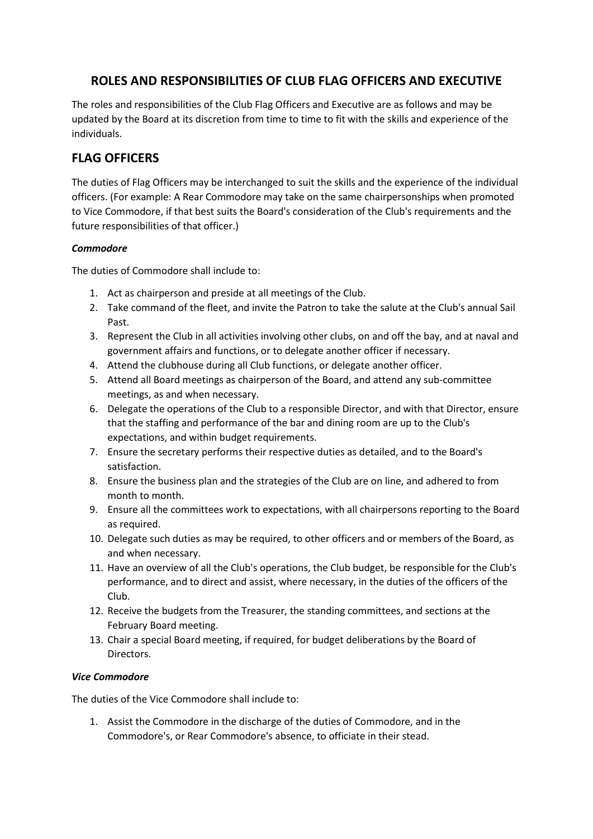# **ROLES AND RESPONSIBILITIES OF CLUB FLAG OFFICERS AND EXECUTIVE**

The roles and responsibilities of the Club Flag Officers and Executive are as follows and may be updated by the Board at its discretion from time to time to fit with the skills and experience of the individuals.

## **FLAG OFFICERS**

The duties of Flag Officers may be interchanged to suit the skills and the experience of the individual officers. (For example: A Rear Commodore may take on the same chairpersonships when promoted to Vice Commodore, if that best suits the Board's consideration of the Club's requirements and the future responsibilities of that officer.)

### *Commodore*

The duties of Commodore shall include to:

- 1. Act as chairperson and preside at all meetings of the Club.
- 2. Take command of the fleet, and invite the Patron to take the salute at the Club's annual Sail Past.
- 3. Represent the Club in all activities involving other clubs, on and off the bay, and at naval and government affairs and functions, or to delegate another officer if necessary.
- 4. Attend the clubhouse during all Club functions, or delegate another officer.
- 5. Attend all Board meetings as chairperson of the Board, and attend any sub-committee meetings, as and when necessary.
- 6. Delegate the operations of the Club to a responsible Director, and with that Director, ensure that the staffing and performance of the bar and dining room are up to the Club's expectations, and within budget requirements.
- 7. Ensure the secretary performs their respective duties as detailed, and to the Board's satisfaction.
- 8. Ensure the business plan and the strategies of the Club are on line, and adhered to from month to month.
- 9. Ensure all the committees work to expectations, with all chairpersons reporting to the Board as required.
- 10. Delegate such duties as may be required, to other officers and or members of the Board, as and when necessary.
- 11. Have an overview of all the Club's operations, the Club budget, be responsible for the Club's performance, and to direct and assist, where necessary, in the duties of the officers of the Club.
- 12. Receive the budgets from the Treasurer, the standing committees, and sections at the February Board meeting.
- 13. Chair a special Board meeting, if required, for budget deliberations by the Board of Directors.

#### *Vice Commodore*

The duties of the Vice Commodore shall include to:

1. Assist the Commodore in the discharge of the duties of Commodore, and in the Commodore's, or Rear Commodore's absence, to officiate in their stead.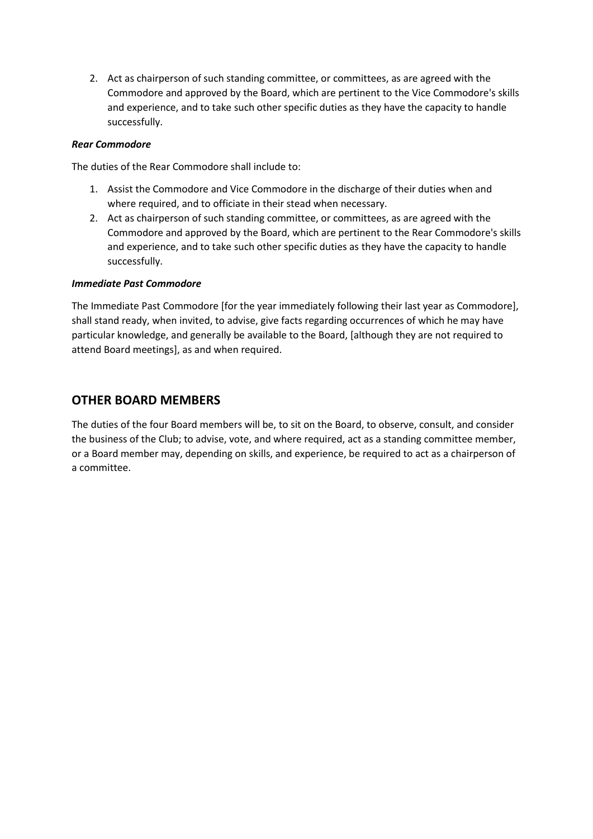2. Act as chairperson of such standing committee, or committees, as are agreed with the Commodore and approved by the Board, which are pertinent to the Vice Commodore's skills and experience, and to take such other specific duties as they have the capacity to handle successfully.

### *Rear Commodore*

The duties of the Rear Commodore shall include to:

- 1. Assist the Commodore and Vice Commodore in the discharge of their duties when and where required, and to officiate in their stead when necessary.
- 2. Act as chairperson of such standing committee, or committees, as are agreed with the Commodore and approved by the Board, which are pertinent to the Rear Commodore's skills and experience, and to take such other specific duties as they have the capacity to handle successfully.

### *Immediate Past Commodore*

The Immediate Past Commodore [for the year immediately following their last year as Commodore], shall stand ready, when invited, to advise, give facts regarding occurrences of which he may have particular knowledge, and generally be available to the Board, [although they are not required to attend Board meetings], as and when required.

## **OTHER BOARD MEMBERS**

The duties of the four Board members will be, to sit on the Board, to observe, consult, and consider the business of the Club; to advise, vote, and where required, act as a standing committee member, or a Board member may, depending on skills, and experience, be required to act as a chairperson of a committee.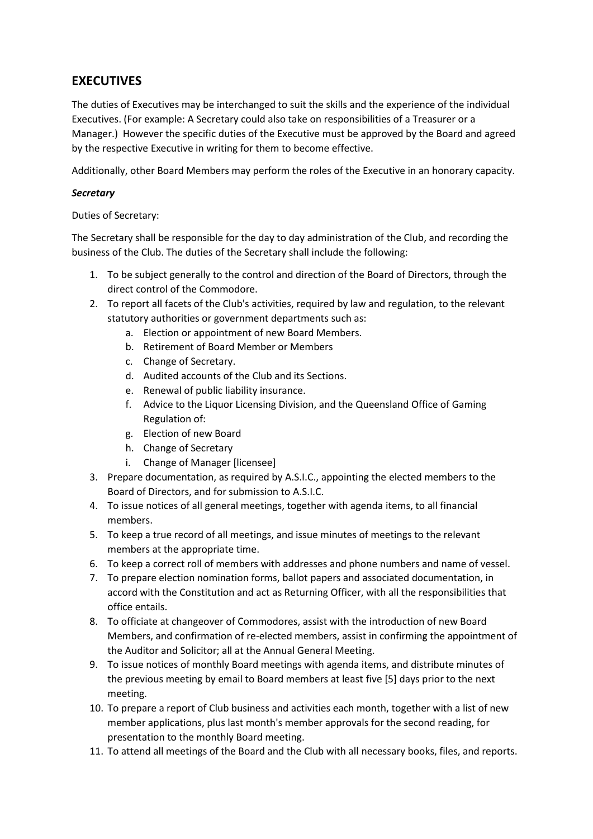# **EXECUTIVES**

The duties of Executives may be interchanged to suit the skills and the experience of the individual Executives. (For example: A Secretary could also take on responsibilities of a Treasurer or a Manager.) However the specific duties of the Executive must be approved by the Board and agreed by the respective Executive in writing for them to become effective.

Additionally, other Board Members may perform the roles of the Executive in an honorary capacity.

## *Secretary*

Duties of Secretary:

The Secretary shall be responsible for the day to day administration of the Club, and recording the business of the Club. The duties of the Secretary shall include the following:

- 1. To be subject generally to the control and direction of the Board of Directors, through the direct control of the Commodore.
- 2. To report all facets of the Club's activities, required by law and regulation, to the relevant statutory authorities or government departments such as:
	- a. Election or appointment of new Board Members.
	- b. Retirement of Board Member or Members
	- c. Change of Secretary.
	- d. Audited accounts of the Club and its Sections.
	- e. Renewal of public liability insurance.
	- f. Advice to the Liquor Licensing Division, and the Queensland Office of Gaming Regulation of:
	- g. Election of new Board
	- h. Change of Secretary
	- i. Change of Manager [licensee]
- 3. Prepare documentation, as required by A.S.I.C., appointing the elected members to the Board of Directors, and for submission to A.S.I.C.
- 4. To issue notices of all general meetings, together with agenda items, to all financial members.
- 5. To keep a true record of all meetings, and issue minutes of meetings to the relevant members at the appropriate time.
- 6. To keep a correct roll of members with addresses and phone numbers and name of vessel.
- 7. To prepare election nomination forms, ballot papers and associated documentation, in accord with the Constitution and act as Returning Officer, with all the responsibilities that office entails.
- 8. To officiate at changeover of Commodores, assist with the introduction of new Board Members, and confirmation of re-elected members, assist in confirming the appointment of the Auditor and Solicitor; all at the Annual General Meeting.
- 9. To issue notices of monthly Board meetings with agenda items, and distribute minutes of the previous meeting by email to Board members at least five [5] days prior to the next meeting.
- 10. To prepare a report of Club business and activities each month, together with a list of new member applications, plus last month's member approvals for the second reading, for presentation to the monthly Board meeting.
- 11. To attend all meetings of the Board and the Club with all necessary books, files, and reports.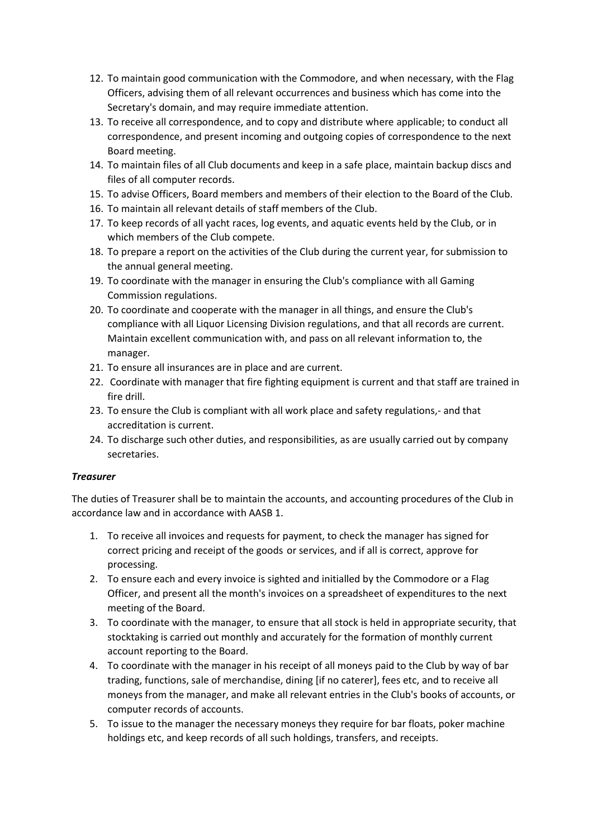- 12. To maintain good communication with the Commodore, and when necessary, with the Flag Officers, advising them of all relevant occurrences and business which has come into the Secretary's domain, and may require immediate attention.
- 13. To receive all correspondence, and to copy and distribute where applicable; to conduct all correspondence, and present incoming and outgoing copies of correspondence to the next Board meeting.
- 14. To maintain files of all Club documents and keep in a safe place, maintain backup discs and files of all computer records.
- 15. To advise Officers, Board members and members of their election to the Board of the Club.
- 16. To maintain all relevant details of staff members of the Club.
- 17. To keep records of all yacht races, log events, and aquatic events held by the Club, or in which members of the Club compete.
- 18. To prepare a report on the activities of the Club during the current year, for submission to the annual general meeting.
- 19. To coordinate with the manager in ensuring the Club's compliance with all Gaming Commission regulations.
- 20. To coordinate and cooperate with the manager in all things, and ensure the Club's compliance with all Liquor Licensing Division regulations, and that all records are current. Maintain excellent communication with, and pass on all relevant information to, the manager.
- 21. To ensure all insurances are in place and are current.
- 22. Coordinate with manager that fire fighting equipment is current and that staff are trained in fire drill.
- 23. To ensure the Club is compliant with all work place and safety regulations,- and that accreditation is current.
- 24. To discharge such other duties, and responsibilities, as are usually carried out by company secretaries.

#### *Treasurer*

The duties of Treasurer shall be to maintain the accounts, and accounting procedures of the Club in accordance law and in accordance with AASB 1.

- 1. To receive all invoices and requests for payment, to check the manager has signed for correct pricing and receipt of the goods or services, and if all is correct, approve for processing.
- 2. To ensure each and every invoice is sighted and initialled by the Commodore or a Flag Officer, and present all the month's invoices on a spreadsheet of expenditures to the next meeting of the Board.
- 3. To coordinate with the manager, to ensure that all stock is held in appropriate security, that stocktaking is carried out monthly and accurately for the formation of monthly current account reporting to the Board.
- 4. To coordinate with the manager in his receipt of all moneys paid to the Club by way of bar trading, functions, sale of merchandise, dining [if no caterer], fees etc, and to receive all moneys from the manager, and make all relevant entries in the Club's books of accounts, or computer records of accounts.
- 5. To issue to the manager the necessary moneys they require for bar floats, poker machine holdings etc, and keep records of all such holdings, transfers, and receipts.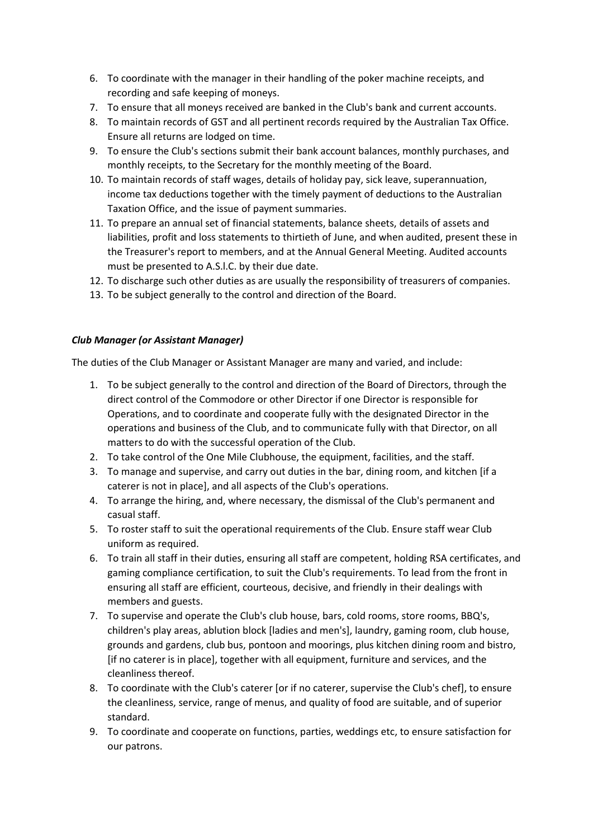- 6. To coordinate with the manager in their handling of the poker machine receipts, and recording and safe keeping of moneys.
- 7. To ensure that all moneys received are banked in the Club's bank and current accounts.
- 8. To maintain records of GST and all pertinent records required by the Australian Tax Office. Ensure all returns are lodged on time.
- 9. To ensure the Club's sections submit their bank account balances, monthly purchases, and monthly receipts, to the Secretary for the monthly meeting of the Board.
- 10. To maintain records of staff wages, details of holiday pay, sick leave, superannuation, income tax deductions together with the timely payment of deductions to the Australian Taxation Office, and the issue of payment summaries.
- 11. To prepare an annual set of financial statements, balance sheets, details of assets and liabilities, profit and loss statements to thirtieth of June, and when audited, present these in the Treasurer's report to members, and at the Annual General Meeting. Audited accounts must be presented to A.S.l.C. by their due date.
- 12. To discharge such other duties as are usually the responsibility of treasurers of companies.
- 13. To be subject generally to the control and direction of the Board.

### *Club Manager (or Assistant Manager)*

The duties of the Club Manager or Assistant Manager are many and varied, and include:

- 1. To be subject generally to the control and direction of the Board of Directors, through the direct control of the Commodore or other Director if one Director is responsible for Operations, and to coordinate and cooperate fully with the designated Director in the operations and business of the Club, and to communicate fully with that Director, on all matters to do with the successful operation of the Club.
- 2. To take control of the One Mile Clubhouse, the equipment, facilities, and the staff.
- 3. To manage and supervise, and carry out duties in the bar, dining room, and kitchen [if a caterer is not in place], and all aspects of the Club's operations.
- 4. To arrange the hiring, and, where necessary, the dismissal of the Club's permanent and casual staff.
- 5. To roster staff to suit the operational requirements of the Club. Ensure staff wear Club uniform as required.
- 6. To train all staff in their duties, ensuring all staff are competent, holding RSA certificates, and gaming compliance certification, to suit the Club's requirements. To lead from the front in ensuring all staff are efficient, courteous, decisive, and friendly in their dealings with members and guests.
- 7. To supervise and operate the Club's club house, bars, cold rooms, store rooms, BBQ's, children's play areas, ablution block [ladies and men's], laundry, gaming room, club house, grounds and gardens, club bus, pontoon and moorings, plus kitchen dining room and bistro, [if no caterer is in place], together with all equipment, furniture and services, and the cleanliness thereof.
- 8. To coordinate with the Club's caterer [or if no caterer, supervise the Club's chef], to ensure the cleanliness, service, range of menus, and quality of food are suitable, and of superior standard.
- 9. To coordinate and cooperate on functions, parties, weddings etc, to ensure satisfaction for our patrons.